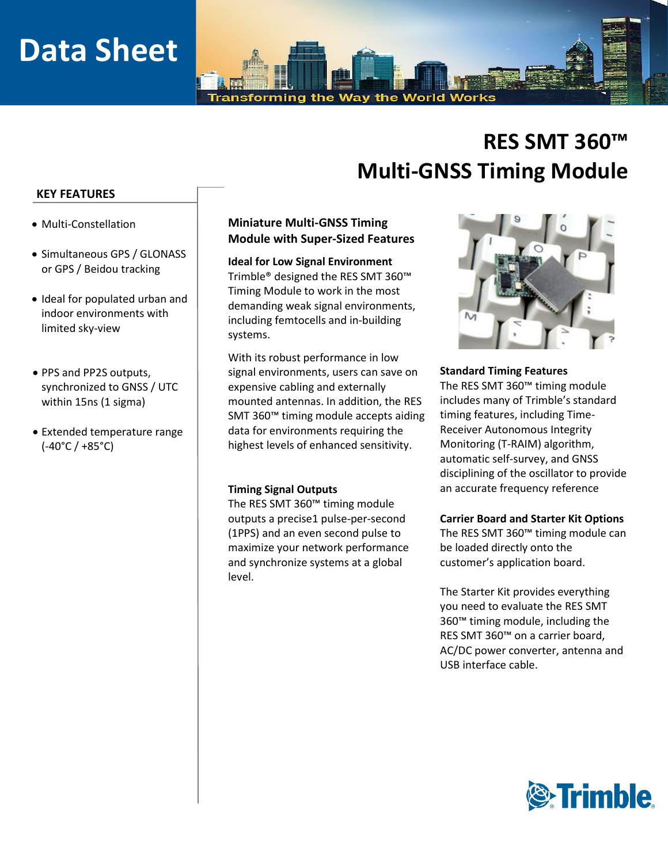# **Data Sheet**

the Way Transforming the World Works

# **RES SMT 360™ Multi-GNSS Timing Module**

#### **KEY FEATURES**

- Multi-Constellation
- Simultaneous GPS / GLONASS or GPS / Beidou tracking
- Ideal for populated urban and indoor environments with limited sky-view
- PPS and PP2S outputs, synchronized to GNSS / UTC within 15ns (1 sigma)
- Extended temperature range (-40°C / +85°C)

### **Miniature Multi-GNSS Timing Module with Super-Sized Features**

**Ideal for Low Signal Environment** Trimble® designed the RES SMT 360™ Timing Module to work in the most demanding weak signal environments, including femtocells and in-building systems.

With its robust performance in low signal environments, users can save on expensive cabling and externally mounted antennas. In addition, the RES SMT 360™ timing module accepts aiding data for environments requiring the highest levels of enhanced sensitivity.

#### **Timing Signal Outputs**

The RES SMT 360™ timing module outputs a precise1 pulse-per-second (1PPS) and an even second pulse to maximize your network performance and synchronize systems at a global level.



#### **Standard Timing Features**

The RES SMT 360™ timing module includes many of Trimble's standard timing features, including Time-Receiver Autonomous Integrity Monitoring (T-RAIM) algorithm, automatic self-survey, and GNSS disciplining of the oscillator to provide an accurate frequency reference

#### **Carrier Board and Starter Kit Options**

The RES SMT 360™ timing module can be loaded directly onto the customer's application board.

The Starter Kit provides everything you need to evaluate the RES SMT 360™ timing module, including the RES SMT 360™ on a carrier board, AC/DC power converter, antenna and USB interface cable.